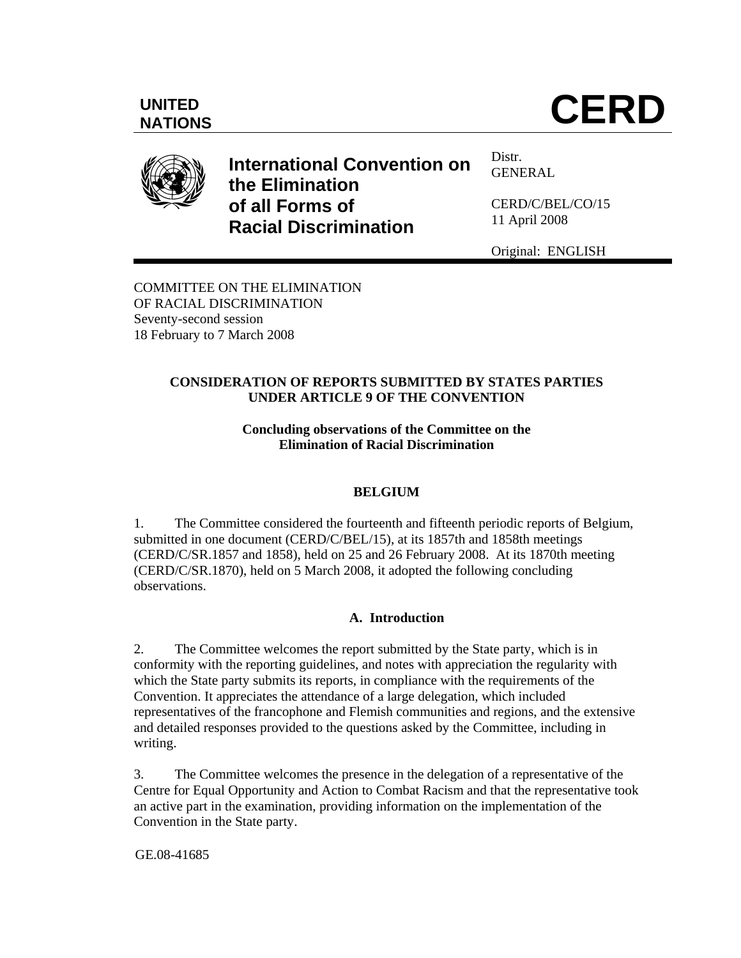# UNITED **CERD**



**International Convention on the Elimination of all Forms of Racial Discrimination** 

Distr. **GENERAL** 

CERD/C/BEL/CO/15 11 April 2008

Original: ENGLISH

COMMITTEE ON THE ELIMINATION OF RACIAL DISCRIMINATION Seventy-second session 18 February to 7 March 2008

## **CONSIDERATION OF REPORTS SUBMITTED BY STATES PARTIES UNDER ARTICLE 9 OF THE CONVENTION**

## **Concluding observations of the Committee on the Elimination of Racial Discrimination**

# **BELGIUM**

1. The Committee considered the fourteenth and fifteenth periodic reports of Belgium, submitted in one document (CERD/C/BEL/15), at its 1857th and 1858th meetings (CERD/C/SR.1857 and 1858), held on 25 and 26 February 2008. At its 1870th meeting (CERD/C/SR.1870), held on 5 March 2008, it adopted the following concluding observations.

# **A. Introduction**

2. The Committee welcomes the report submitted by the State party, which is in conformity with the reporting guidelines, and notes with appreciation the regularity with which the State party submits its reports, in compliance with the requirements of the Convention. It appreciates the attendance of a large delegation, which included representatives of the francophone and Flemish communities and regions, and the extensive and detailed responses provided to the questions asked by the Committee, including in writing.

3. The Committee welcomes the presence in the delegation of a representative of the Centre for Equal Opportunity and Action to Combat Racism and that the representative took an active part in the examination, providing information on the implementation of the Convention in the State party.

GE.08-41685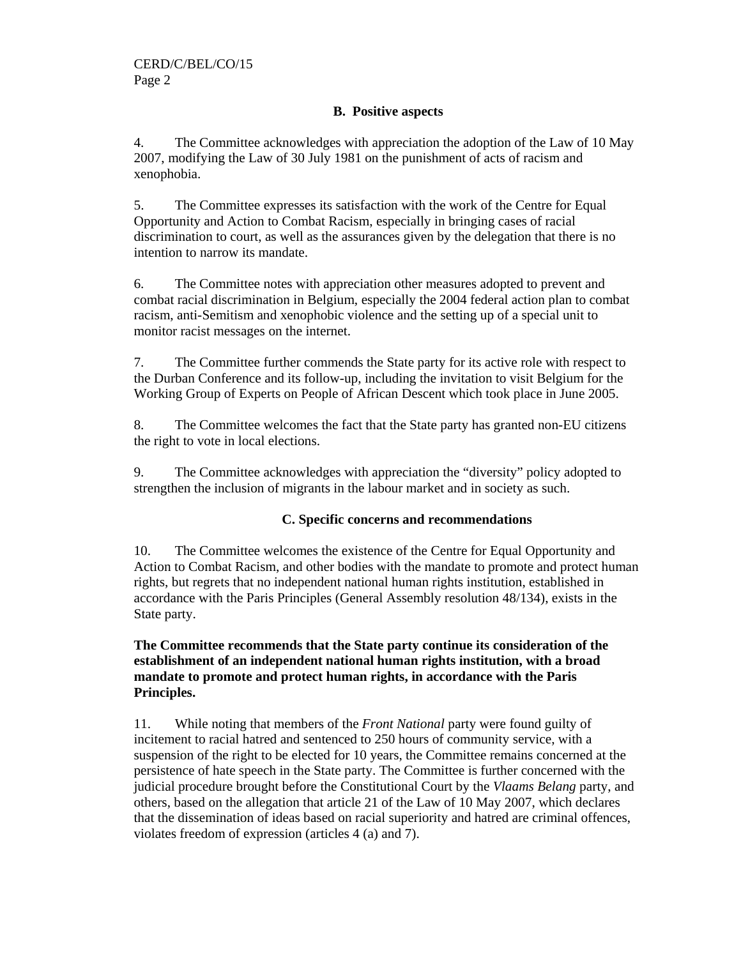## **B. Positive aspects**

4. The Committee acknowledges with appreciation the adoption of the Law of 10 May 2007, modifying the Law of 30 July 1981 on the punishment of acts of racism and xenophobia.

5. The Committee expresses its satisfaction with the work of the Centre for Equal Opportunity and Action to Combat Racism, especially in bringing cases of racial discrimination to court, as well as the assurances given by the delegation that there is no intention to narrow its mandate.

6. The Committee notes with appreciation other measures adopted to prevent and combat racial discrimination in Belgium, especially the 2004 federal action plan to combat racism, anti-Semitism and xenophobic violence and the setting up of a special unit to monitor racist messages on the internet.

7. The Committee further commends the State party for its active role with respect to the Durban Conference and its follow-up, including the invitation to visit Belgium for the Working Group of Experts on People of African Descent which took place in June 2005.

8. The Committee welcomes the fact that the State party has granted non-EU citizens the right to vote in local elections.

9. The Committee acknowledges with appreciation the "diversity" policy adopted to strengthen the inclusion of migrants in the labour market and in society as such.

#### **C. Specific concerns and recommendations**

10. The Committee welcomes the existence of the Centre for Equal Opportunity and Action to Combat Racism, and other bodies with the mandate to promote and protect human rights, but regrets that no independent national human rights institution, established in accordance with the Paris Principles (General Assembly resolution 48/134), exists in the State party.

## **The Committee recommends that the State party continue its consideration of the establishment of an independent national human rights institution, with a broad mandate to promote and protect human rights, in accordance with the Paris Principles.**

11. While noting that members of the *Front National* party were found guilty of incitement to racial hatred and sentenced to 250 hours of community service, with a suspension of the right to be elected for 10 years, the Committee remains concerned at the persistence of hate speech in the State party. The Committee is further concerned with the judicial procedure brought before the Constitutional Court by the *Vlaams Belang* party, and others, based on the allegation that article 21 of the Law of 10 May 2007, which declares that the dissemination of ideas based on racial superiority and hatred are criminal offences, violates freedom of expression (articles 4 (a) and 7).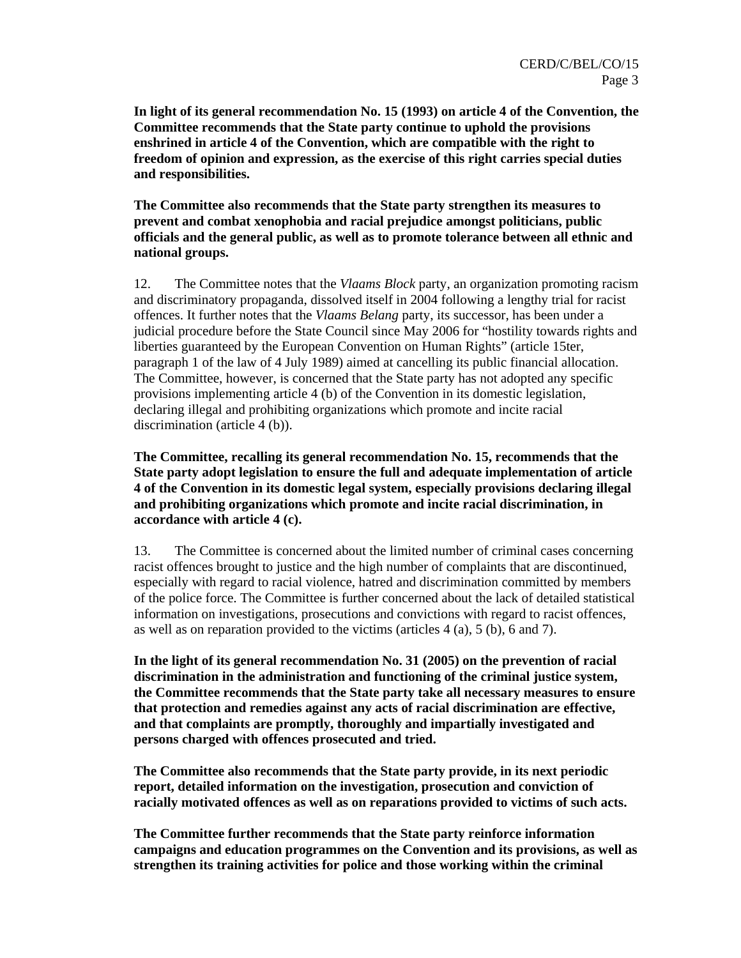**In light of its general recommendation No. 15 (1993) on article 4 of the Convention, the Committee recommends that the State party continue to uphold the provisions enshrined in article 4 of the Convention, which are compatible with the right to freedom of opinion and expression, as the exercise of this right carries special duties and responsibilities.** 

**The Committee also recommends that the State party strengthen its measures to prevent and combat xenophobia and racial prejudice amongst politicians, public officials and the general public, as well as to promote tolerance between all ethnic and national groups.** 

12. The Committee notes that the *Vlaams Block* party, an organization promoting racism and discriminatory propaganda, dissolved itself in 2004 following a lengthy trial for racist offences. It further notes that the *Vlaams Belang* party, its successor, has been under a judicial procedure before the State Council since May 2006 for "hostility towards rights and liberties guaranteed by the European Convention on Human Rights" (article 15ter, paragraph 1 of the law of 4 July 1989) aimed at cancelling its public financial allocation. The Committee, however, is concerned that the State party has not adopted any specific provisions implementing article 4 (b) of the Convention in its domestic legislation, declaring illegal and prohibiting organizations which promote and incite racial discrimination (article 4 (b)).

**The Committee, recalling its general recommendation No. 15, recommends that the State party adopt legislation to ensure the full and adequate implementation of article 4 of the Convention in its domestic legal system, especially provisions declaring illegal and prohibiting organizations which promote and incite racial discrimination, in accordance with article 4 (c).** 

13. The Committee is concerned about the limited number of criminal cases concerning racist offences brought to justice and the high number of complaints that are discontinued, especially with regard to racial violence, hatred and discrimination committed by members of the police force. The Committee is further concerned about the lack of detailed statistical information on investigations, prosecutions and convictions with regard to racist offences, as well as on reparation provided to the victims (articles 4 (a), 5 (b), 6 and 7).

**In the light of its general recommendation No. 31 (2005) on the prevention of racial discrimination in the administration and functioning of the criminal justice system, the Committee recommends that the State party take all necessary measures to ensure that protection and remedies against any acts of racial discrimination are effective, and that complaints are promptly, thoroughly and impartially investigated and persons charged with offences prosecuted and tried.** 

**The Committee also recommends that the State party provide, in its next periodic report, detailed information on the investigation, prosecution and conviction of racially motivated offences as well as on reparations provided to victims of such acts.** 

**The Committee further recommends that the State party reinforce information campaigns and education programmes on the Convention and its provisions, as well as strengthen its training activities for police and those working within the criminal**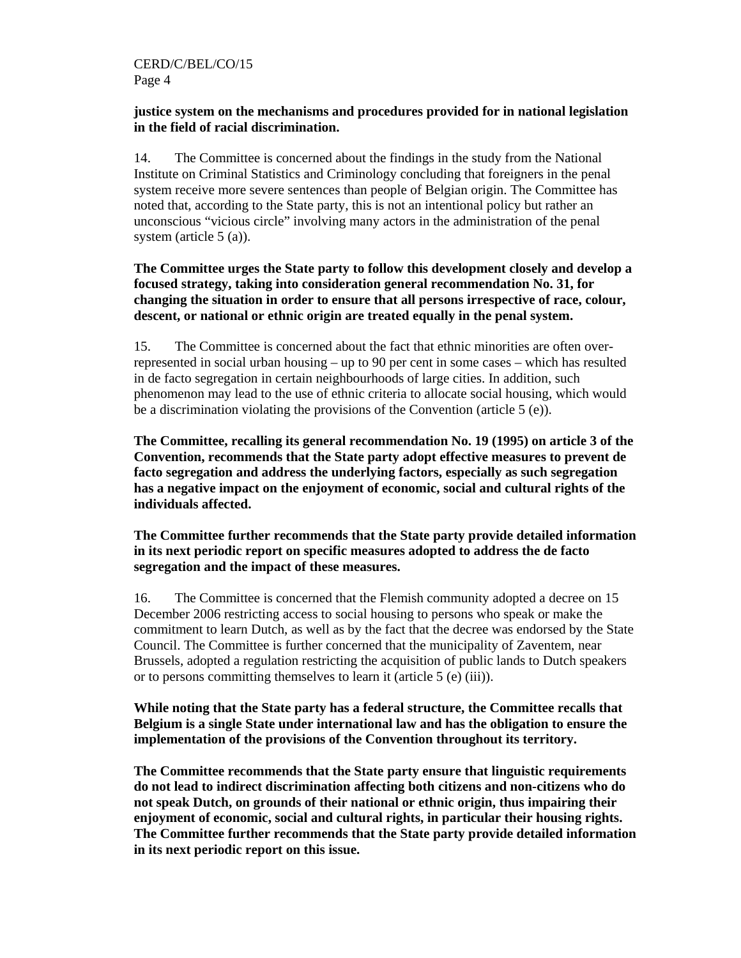#### **justice system on the mechanisms and procedures provided for in national legislation in the field of racial discrimination.**

14. The Committee is concerned about the findings in the study from the National Institute on Criminal Statistics and Criminology concluding that foreigners in the penal system receive more severe sentences than people of Belgian origin. The Committee has noted that, according to the State party, this is not an intentional policy but rather an unconscious "vicious circle" involving many actors in the administration of the penal system (article 5 (a)).

## **The Committee urges the State party to follow this development closely and develop a focused strategy, taking into consideration general recommendation No. 31, for changing the situation in order to ensure that all persons irrespective of race, colour, descent, or national or ethnic origin are treated equally in the penal system.**

15. The Committee is concerned about the fact that ethnic minorities are often overrepresented in social urban housing – up to 90 per cent in some cases – which has resulted in de facto segregation in certain neighbourhoods of large cities. In addition, such phenomenon may lead to the use of ethnic criteria to allocate social housing, which would be a discrimination violating the provisions of the Convention (article 5 (e)).

**The Committee, recalling its general recommendation No. 19 (1995) on article 3 of the Convention, recommends that the State party adopt effective measures to prevent de facto segregation and address the underlying factors, especially as such segregation has a negative impact on the enjoyment of economic, social and cultural rights of the individuals affected.** 

**The Committee further recommends that the State party provide detailed information in its next periodic report on specific measures adopted to address the de facto segregation and the impact of these measures.** 

16. The Committee is concerned that the Flemish community adopted a decree on 15 December 2006 restricting access to social housing to persons who speak or make the commitment to learn Dutch, as well as by the fact that the decree was endorsed by the State Council. The Committee is further concerned that the municipality of Zaventem, near Brussels, adopted a regulation restricting the acquisition of public lands to Dutch speakers or to persons committing themselves to learn it (article 5 (e) (iii)).

## **While noting that the State party has a federal structure, the Committee recalls that Belgium is a single State under international law and has the obligation to ensure the implementation of the provisions of the Convention throughout its territory.**

**The Committee recommends that the State party ensure that linguistic requirements do not lead to indirect discrimination affecting both citizens and non-citizens who do not speak Dutch, on grounds of their national or ethnic origin, thus impairing their enjoyment of economic, social and cultural rights, in particular their housing rights. The Committee further recommends that the State party provide detailed information in its next periodic report on this issue.**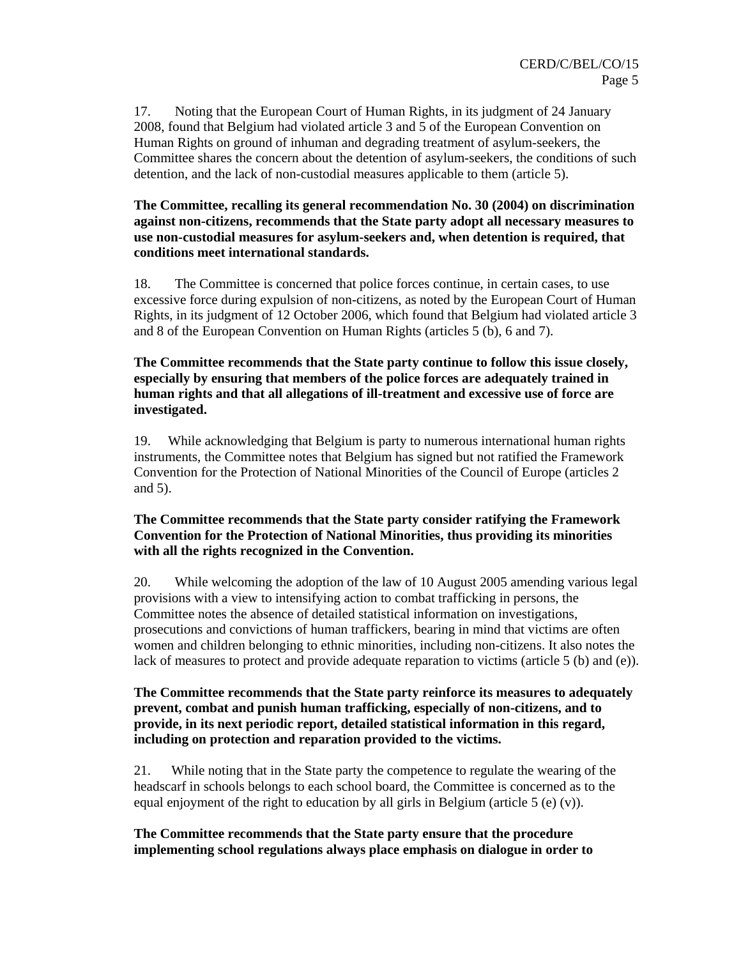17. Noting that the European Court of Human Rights, in its judgment of 24 January 2008, found that Belgium had violated article 3 and 5 of the European Convention on Human Rights on ground of inhuman and degrading treatment of asylum-seekers, the Committee shares the concern about the detention of asylum-seekers, the conditions of such detention, and the lack of non-custodial measures applicable to them (article 5).

#### **The Committee, recalling its general recommendation No. 30 (2004) on discrimination against non-citizens, recommends that the State party adopt all necessary measures to use non-custodial measures for asylum-seekers and, when detention is required, that conditions meet international standards.**

18. The Committee is concerned that police forces continue, in certain cases, to use excessive force during expulsion of non-citizens, as noted by the European Court of Human Rights, in its judgment of 12 October 2006, which found that Belgium had violated article 3 and 8 of the European Convention on Human Rights (articles 5 (b), 6 and 7).

#### **The Committee recommends that the State party continue to follow this issue closely, especially by ensuring that members of the police forces are adequately trained in human rights and that all allegations of ill-treatment and excessive use of force are investigated.**

19. While acknowledging that Belgium is party to numerous international human rights instruments, the Committee notes that Belgium has signed but not ratified the Framework Convention for the Protection of National Minorities of the Council of Europe (articles 2 and 5).

## **The Committee recommends that the State party consider ratifying the Framework Convention for the Protection of National Minorities, thus providing its minorities with all the rights recognized in the Convention.**

20. While welcoming the adoption of the law of 10 August 2005 amending various legal provisions with a view to intensifying action to combat trafficking in persons, the Committee notes the absence of detailed statistical information on investigations, prosecutions and convictions of human traffickers, bearing in mind that victims are often women and children belonging to ethnic minorities, including non-citizens. It also notes the lack of measures to protect and provide adequate reparation to victims (article 5 (b) and (e)).

## **The Committee recommends that the State party reinforce its measures to adequately prevent, combat and punish human trafficking, especially of non-citizens, and to provide, in its next periodic report, detailed statistical information in this regard, including on protection and reparation provided to the victims.**

21. While noting that in the State party the competence to regulate the wearing of the headscarf in schools belongs to each school board, the Committee is concerned as to the equal enjoyment of the right to education by all girls in Belgium (article 5 (e) (v)).

#### **The Committee recommends that the State party ensure that the procedure implementing school regulations always place emphasis on dialogue in order to**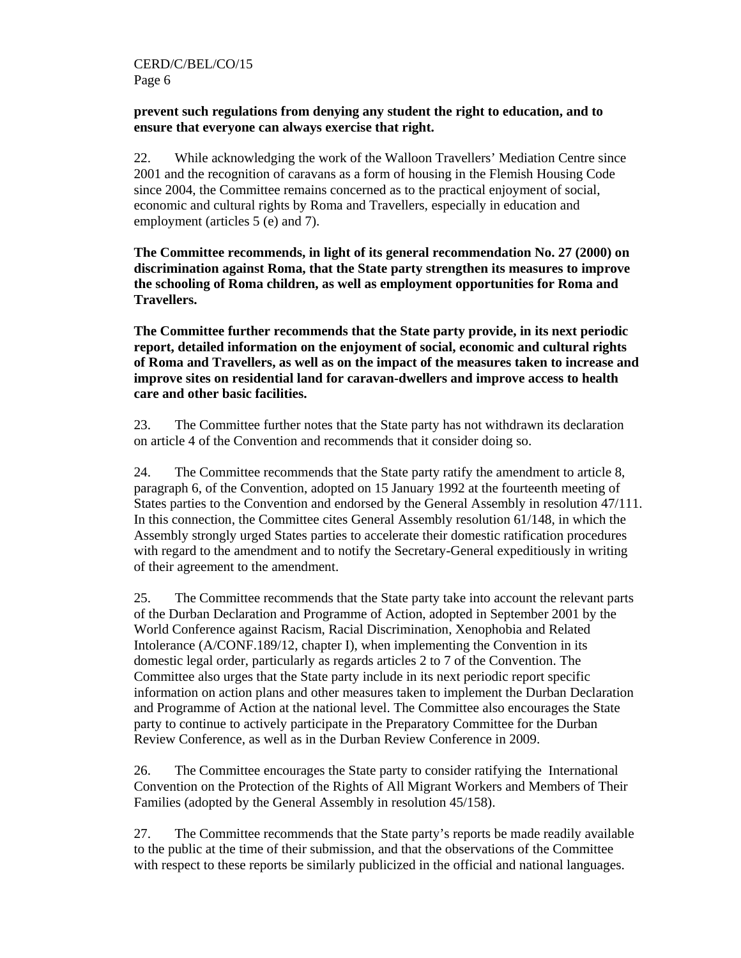#### **prevent such regulations from denying any student the right to education, and to ensure that everyone can always exercise that right.**

22. While acknowledging the work of the Walloon Travellers' Mediation Centre since 2001 and the recognition of caravans as a form of housing in the Flemish Housing Code since 2004, the Committee remains concerned as to the practical enjoyment of social, economic and cultural rights by Roma and Travellers, especially in education and employment (articles 5 (e) and 7).

**The Committee recommends, in light of its general recommendation No. 27 (2000) on discrimination against Roma, that the State party strengthen its measures to improve the schooling of Roma children, as well as employment opportunities for Roma and Travellers.** 

**The Committee further recommends that the State party provide, in its next periodic report, detailed information on the enjoyment of social, economic and cultural rights of Roma and Travellers, as well as on the impact of the measures taken to increase and improve sites on residential land for caravan-dwellers and improve access to health care and other basic facilities.** 

23. The Committee further notes that the State party has not withdrawn its declaration on article 4 of the Convention and recommends that it consider doing so.

24. The Committee recommends that the State party ratify the amendment to article 8, paragraph 6, of the Convention, adopted on 15 January 1992 at the fourteenth meeting of States parties to the Convention and endorsed by the General Assembly in resolution 47/111. In this connection, the Committee cites General Assembly resolution 61/148, in which the Assembly strongly urged States parties to accelerate their domestic ratification procedures with regard to the amendment and to notify the Secretary-General expeditiously in writing of their agreement to the amendment.

25. The Committee recommends that the State party take into account the relevant parts of the Durban Declaration and Programme of Action, adopted in September 2001 by the World Conference against Racism, Racial Discrimination, Xenophobia and Related Intolerance (A/CONF.189/12, chapter I), when implementing the Convention in its domestic legal order, particularly as regards articles 2 to 7 of the Convention. The Committee also urges that the State party include in its next periodic report specific information on action plans and other measures taken to implement the Durban Declaration and Programme of Action at the national level. The Committee also encourages the State party to continue to actively participate in the Preparatory Committee for the Durban Review Conference, as well as in the Durban Review Conference in 2009.

26. The Committee encourages the State party to consider ratifying the International Convention on the Protection of the Rights of All Migrant Workers and Members of Their Families (adopted by the General Assembly in resolution 45/158).

27. The Committee recommends that the State party's reports be made readily available to the public at the time of their submission, and that the observations of the Committee with respect to these reports be similarly publicized in the official and national languages.